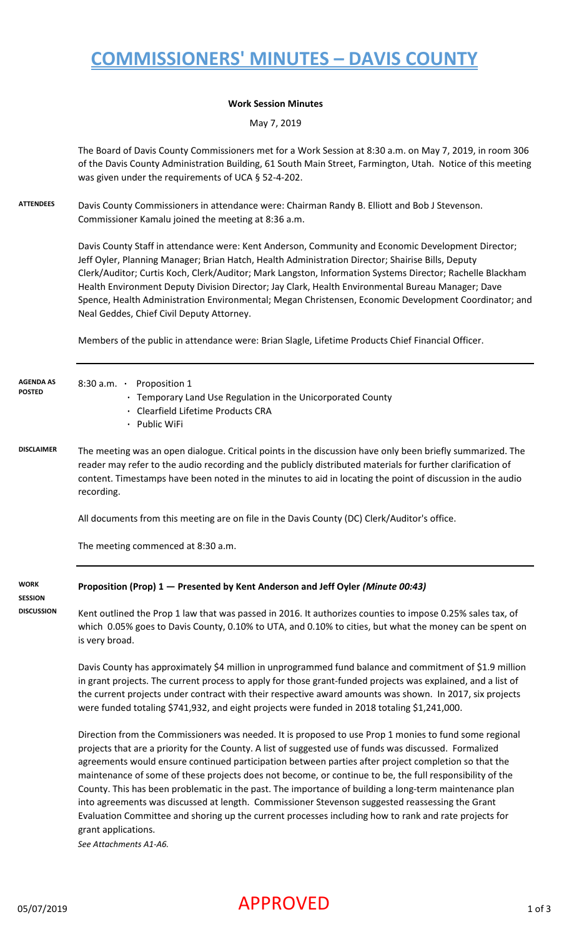# **COMMISSIONERS' MINUTES – DAVIS COUNTY**

#### **Work Session Minutes**

May 7, 2019

The Board of Davis County Commissioners met for a Work Session at 8:30 a.m. on May 7, 2019, in room 306 of the Davis County Administration Building, 61 South Main Street, Farmington, Utah. Notice of this meeting was given under the requirements of UCA § 52-4-202.

**ATTENDEES** Davis County Commissioners in attendance were: Chairman Randy B. Elliott and Bob J Stevenson. Commissioner Kamalu joined the meeting at 8:36 a.m.

> Davis County Staff in attendance were: Kent Anderson, Community and Economic Development Director; Jeff Oyler, Planning Manager; Brian Hatch, Health Administration Director; Shairise Bills, Deputy Clerk/Auditor; Curtis Koch, Clerk/Auditor; Mark Langston, Information Systems Director; Rachelle Blackham Health Environment Deputy Division Director; Jay Clark, Health Environmental Bureau Manager; Dave Spence, Health Administration Environmental; Megan Christensen, Economic Development Coordinator; and Neal Geddes, Chief Civil Deputy Attorney.

Members of the public in attendance were: Brian Slagle, Lifetime Products Chief Financial Officer.

| <b>AGENDA AS</b><br><b>POSTED</b> | 8:30 a.m. • Proposition 1<br>· Temporary Land Use Regulation in the Unicorporated County<br>· Clearfield Lifetime Products CRA<br>· Public WiFi                                                                                                                                                                                                                                                                                                                                                                                                                                                                                                                                                                                                                                                              |
|-----------------------------------|--------------------------------------------------------------------------------------------------------------------------------------------------------------------------------------------------------------------------------------------------------------------------------------------------------------------------------------------------------------------------------------------------------------------------------------------------------------------------------------------------------------------------------------------------------------------------------------------------------------------------------------------------------------------------------------------------------------------------------------------------------------------------------------------------------------|
| <b>DISCLAIMER</b>                 | The meeting was an open dialogue. Critical points in the discussion have only been briefly summarized. The<br>reader may refer to the audio recording and the publicly distributed materials for further clarification of<br>content. Timestamps have been noted in the minutes to aid in locating the point of discussion in the audio<br>recording.                                                                                                                                                                                                                                                                                                                                                                                                                                                        |
|                                   | All documents from this meeting are on file in the Davis County (DC) Clerk/Auditor's office.                                                                                                                                                                                                                                                                                                                                                                                                                                                                                                                                                                                                                                                                                                                 |
|                                   | The meeting commenced at 8:30 a.m.                                                                                                                                                                                                                                                                                                                                                                                                                                                                                                                                                                                                                                                                                                                                                                           |
| <b>WORK</b><br><b>SESSION</b>     | Proposition (Prop) 1 - Presented by Kent Anderson and Jeff Oyler (Minute 00:43)                                                                                                                                                                                                                                                                                                                                                                                                                                                                                                                                                                                                                                                                                                                              |
| <b>DISCUSSION</b>                 | Kent outlined the Prop 1 law that was passed in 2016. It authorizes counties to impose 0.25% sales tax, of<br>which 0.05% goes to Davis County, 0.10% to UTA, and 0.10% to cities, but what the money can be spent on<br>is very broad.                                                                                                                                                                                                                                                                                                                                                                                                                                                                                                                                                                      |
|                                   | Davis County has approximately \$4 million in unprogrammed fund balance and commitment of \$1.9 million<br>in grant projects. The current process to apply for those grant-funded projects was explained, and a list of<br>the current projects under contract with their respective award amounts was shown. In 2017, six projects<br>were funded totaling \$741,932, and eight projects were funded in 2018 totaling \$1,241,000.                                                                                                                                                                                                                                                                                                                                                                          |
|                                   | Direction from the Commissioners was needed. It is proposed to use Prop 1 monies to fund some regional<br>projects that are a priority for the County. A list of suggested use of funds was discussed. Formalized<br>agreements would ensure continued participation between parties after project completion so that the<br>maintenance of some of these projects does not become, or continue to be, the full responsibility of the<br>County. This has been problematic in the past. The importance of building a long-term maintenance plan<br>into agreements was discussed at length. Commissioner Stevenson suggested reassessing the Grant<br>Evaluation Committee and shoring up the current processes including how to rank and rate projects for<br>grant applications.<br>See Attachments A1-A6. |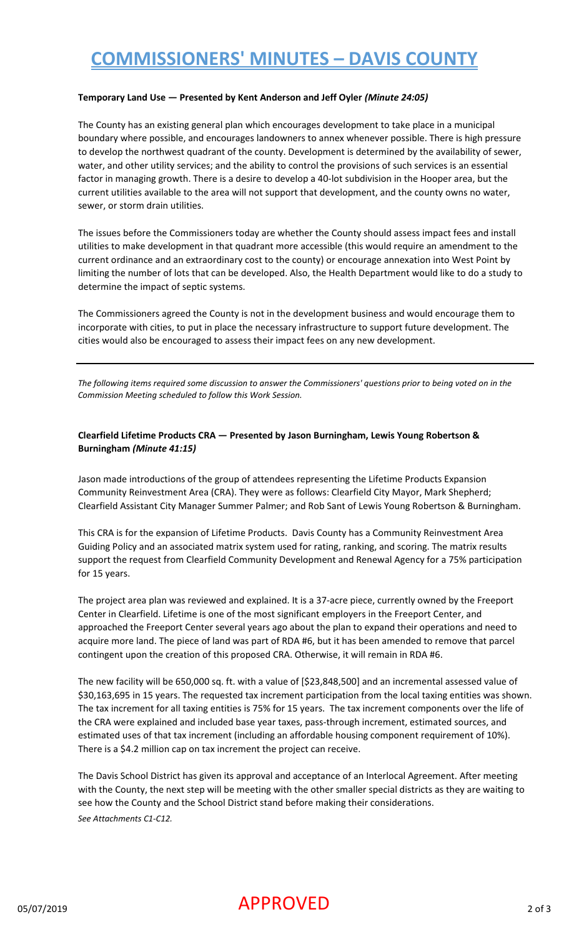# **COMMISSIONERS' MINUTES – DAVIS COUNTY**

#### **Temporary Land Use — Presented by Kent Anderson and Jeff Oyler** *(Minute 24:05)*

The County has an existing general plan which encourages development to take place in a municipal boundary where possible, and encourages landowners to annex whenever possible. There is high pressure to develop the northwest quadrant of the county. Development is determined by the availability of sewer, water, and other utility services; and the ability to control the provisions of such services is an essential factor in managing growth. There is a desire to develop a 40-lot subdivision in the Hooper area, but the current utilities available to the area will not support that development, and the county owns no water, sewer, or storm drain utilities.

The issues before the Commissioners today are whether the County should assess impact fees and install utilities to make development in that quadrant more accessible (this would require an amendment to the current ordinance and an extraordinary cost to the county) or encourage annexation into West Point by limiting the number of lots that can be developed. Also, the Health Department would like to do a study to determine the impact of septic systems.

The Commissioners agreed the County is not in the development business and would encourage them to incorporate with cities, to put in place the necessary infrastructure to support future development. The cities would also be encouraged to assess their impact fees on any new development.

*The following items required some discussion to answer the Commissioners' questions prior to being voted on in the Commission Meeting scheduled to follow this Work Session.*

#### **Clearfield Lifetime Products CRA — Presented by Jason Burningham, Lewis Young Robertson & Burningham** *(Minute 41:15)*

Jason made introductions of the group of attendees representing the Lifetime Products Expansion Community Reinvestment Area (CRA). They were as follows: Clearfield City Mayor, Mark Shepherd; Clearfield Assistant City Manager Summer Palmer; and Rob Sant of Lewis Young Robertson & Burningham.

This CRA is for the expansion of Lifetime Products. Davis County has a Community Reinvestment Area Guiding Policy and an associated matrix system used for rating, ranking, and scoring. The matrix results support the request from Clearfield Community Development and Renewal Agency for a 75% participation for 15 years.

The project area plan was reviewed and explained. It is a 37-acre piece, currently owned by the Freeport Center in Clearfield. Lifetime is one of the most significant employers in the Freeport Center, and approached the Freeport Center several years ago about the plan to expand their operations and need to acquire more land. The piece of land was part of RDA #6, but it has been amended to remove that parcel contingent upon the creation of this proposed CRA. Otherwise, it will remain in RDA #6.

The new facility will be 650,000 sq. ft. with a value of [\$23,848,500] and an incremental assessed value of \$30,163,695 in 15 years. The requested tax increment participation from the local taxing entities was shown. The tax increment for all taxing entities is 75% for 15 years. The tax increment components over the life of the CRA were explained and included base year taxes, pass-through increment, estimated sources, and estimated uses of that tax increment (including an affordable housing component requirement of 10%). There is a \$4.2 million cap on tax increment the project can receive.

The Davis School District has given its approval and acceptance of an Interlocal Agreement. After meeting with the County, the next step will be meeting with the other smaller special districts as they are waiting to see how the County and the School District stand before making their considerations. *See Attachments C1-C12.*

### $\mathsf{APPROVED}$  2 of 3